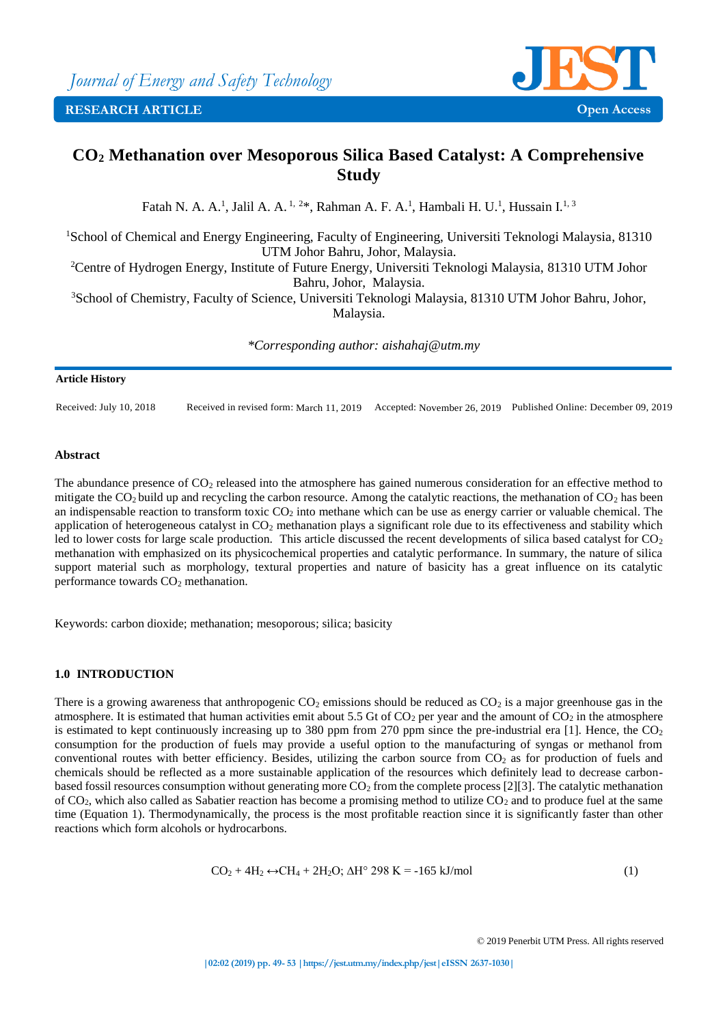

# **CO<sup>2</sup> Methanation over Mesoporous Silica Based Catalyst: A Comprehensive Study**

Fatah N. A. A.<sup>1</sup>, Jalil A. A.<sup>1, 2\*</sup>, Rahman A. F. A.<sup>1</sup>, Hambali H. U.<sup>1</sup>, Hussain I.<sup>1, 3</sup>

<sup>1</sup>School of Chemical and Energy Engineering, Faculty of Engineering, Universiti Teknologi Malaysia, 81310 UTM Johor Bahru, Johor, Malaysia. <sup>2</sup>Centre of Hydrogen Energy, Institute of Future Energy, Universiti Teknologi Malaysia, 81310 UTM Johor

Bahru, Johor, Malaysia.

<sup>3</sup>School of Chemistry, Faculty of Science, Universiti Teknologi Malaysia, 81310 UTM Johor Bahru, Johor, Malaysia.

*\*Corresponding author: aishahaj@utm.my*

### **Article History**

Received: July 10, 2018 Received in revised form: March 11, 2019 Accepted: November 26, 2019 Published Online: December 09, 2019

## **Abstract**

The abundance presence of  $CO<sub>2</sub>$  released into the atmosphere has gained numerous consideration for an effective method to mitigate the  $CO<sub>2</sub>$  build up and recycling the carbon resource. Among the catalytic reactions, the methanation of  $CO<sub>2</sub>$  has been an indispensable reaction to transform toxic  $CO<sub>2</sub>$  into methane which can be use as energy carrier or valuable chemical. The application of heterogeneous catalyst in  $CO<sub>2</sub>$  methanation plays a significant role due to its effectiveness and stability which led to lower costs for large scale production. This article discussed the recent developments of silica based catalyst for CO<sub>2</sub> methanation with emphasized on its physicochemical properties and catalytic performance. In summary, the nature of silica support material such as morphology, textural properties and nature of basicity has a great influence on its catalytic performance towards  $CO<sub>2</sub>$  methanation.

Keywords: carbon dioxide; methanation; mesoporous; silica; basicity

## **1.0 INTRODUCTION**

There is a growing awareness that anthropogenic  $CO_2$  emissions should be reduced as  $CO_2$  is a major greenhouse gas in the atmosphere. It is estimated that human activities emit about 5.5 Gt of  $CO_2$  per year and the amount of  $CO_2$  in the atmosphere is estimated to kept continuously increasing up to 380 ppm from 270 ppm since the pre-industrial era [1]. Hence, the  $CO<sub>2</sub>$ consumption for the production of fuels may provide a useful option to the manufacturing of syngas or methanol from conventional routes with better efficiency. Besides, utilizing the carbon source from  $CO<sub>2</sub>$  as for production of fuels and chemicals should be reflected as a more sustainable application of the resources which definitely lead to decrease carbonbased fossil resources consumption without generating more  $CO<sub>2</sub>$  from the complete process [2][3]. The catalytic methanation of  $CO<sub>2</sub>$ , which also called as Sabatier reaction has become a promising method to utilize  $CO<sub>2</sub>$  and to produce fuel at the same time (Equation 1). Thermodynamically, the process is the most profitable reaction since it is significantly faster than other reactions which form alcohols or hydrocarbons.

$$
CO2 + 4H2 \leftrightarrow CH4 + 2H2O; \Delta Ho 298 K = -165 kJ/mol
$$
 (1)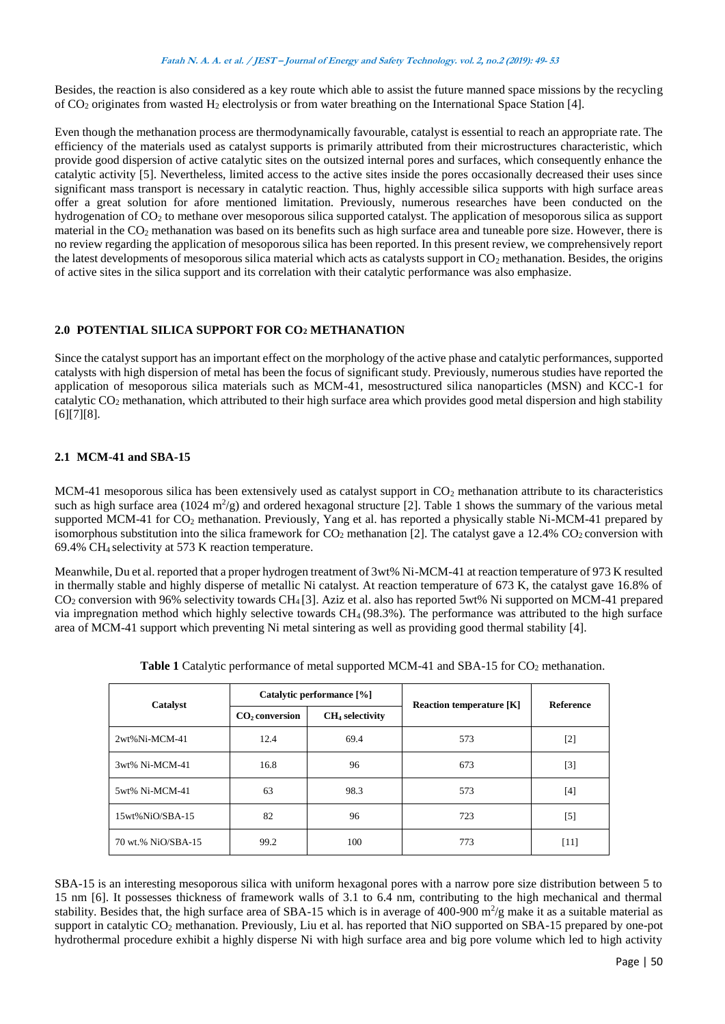#### **Fatah N. A. A. et al. / JEST – Journal of Energy and Safety Technology. vol. 2, no.2 (2019): 49- <sup>53</sup>**

Besides, the reaction is also considered as a key route which able to assist the future manned space missions by the recycling of CO<sup>2</sup> originates from wasted H<sup>2</sup> electrolysis or from water breathing on the International Space Station [4].

Even though the methanation process are thermodynamically favourable, catalyst is essential to reach an appropriate rate. The efficiency of the materials used as catalyst supports is primarily attributed from their microstructures characteristic, which provide good dispersion of active catalytic sites on the outsized internal pores and surfaces, which consequently enhance the catalytic activity [5]. Nevertheless, limited access to the active sites inside the pores occasionally decreased their uses since significant mass transport is necessary in catalytic reaction. Thus, highly accessible silica supports with high surface areas offer a great solution for afore mentioned limitation. Previously, numerous researches have been conducted on the hydrogenation of CO<sub>2</sub> to methane over mesoporous silica supported catalyst. The application of mesoporous silica as support material in the CO<sub>2</sub> methanation was based on its benefits such as high surface area and tuneable pore size. However, there is no review regarding the application of mesoporous silica has been reported. In this present review, we comprehensively report the latest developments of mesoporous silica material which acts as catalysts support in CO<sub>2</sub> methanation. Besides, the origins of active sites in the silica support and its correlation with their catalytic performance was also emphasize.

## **2.0 POTENTIAL SILICA SUPPORT FOR CO<sup>2</sup> METHANATION**

Since the catalyst support has an important effect on the morphology of the active phase and catalytic performances, supported catalysts with high dispersion of metal has been the focus of significant study. Previously, numerous studies have reported the application of mesoporous silica materials such as MCM-41, mesostructured silica nanoparticles (MSN) and KCC-1 for catalytic CO<sup>2</sup> methanation, which attributed to their high surface area which provides good metal dispersion and high stability [6][7][8].

# **2.1 MCM-41 and SBA-15**

MCM-41 mesoporous silica has been extensively used as catalyst support in  $CO<sub>2</sub>$  methanation attribute to its characteristics such as high surface area ( $1024 \text{ m}^2/\text{g}$ ) and ordered hexagonal structure [2]. Table 1 shows the summary of the various metal supported MCM-41 for CO<sub>2</sub> methanation. Previously, Yang et al. has reported a physically stable Ni-MCM-41 prepared by isomorphous substitution into the silica framework for  $CO_2$  methanation [2]. The catalyst gave a 12.4%  $CO_2$  conversion with 69.4% CH<sup>4</sup> selectivity at 573 K reaction temperature.

Meanwhile, Du et al. reported that a proper hydrogen treatment of 3wt% Ni-MCM-41 at reaction temperature of 973 K resulted in thermally stable and highly disperse of metallic Ni catalyst. At reaction temperature of 673 K, the catalyst gave 16.8% of CO<sup>2</sup> conversion with 96% selectivity towards CH<sup>4</sup> [3]. Aziz et al. also has reported 5wt% Ni supported on MCM-41 prepared via impregnation method which highly selective towards  $CH_4$  (98.3%). The performance was attributed to the high surface area of MCM-41 support which preventing Ni metal sintering as well as providing good thermal stability [4].

| Catalyst           | Catalytic performance [%]  |                   | <b>Reaction temperature [K]</b> | <b>Reference</b> |
|--------------------|----------------------------|-------------------|---------------------------------|------------------|
|                    | CO <sub>2</sub> conversion | $CH4$ selectivity |                                 |                  |
| $2wt%$ Ni-MCM-41   | 12.4                       | 69.4              | 573                             | $[2]$            |
| 3wt% Ni-MCM-41     | 16.8                       | 96                | 673                             | $[3]$            |
| 5wt% Ni-MCM-41     | 63                         | 98.3              | 573                             | $[4]$            |
| 15wt%NiO/SBA-15    | 82                         | 96                | 723                             | $[5]$            |
| 70 wt.% NiO/SBA-15 | 99.2                       | 100               | 773                             | [11]             |

Table 1 Catalytic performance of metal supported MCM-41 and SBA-15 for CO<sub>2</sub> methanation.

SBA-15 is an interesting mesoporous silica with uniform hexagonal pores with a narrow pore size distribution between 5 to 15 nm [6]. It possesses thickness of framework walls of 3.1 to 6.4 nm, contributing to the high mechanical and thermal stability. Besides that, the high surface area of SBA-15 which is in average of 400-900  $m^2/g$  make it as a suitable material as support in catalytic CO<sub>2</sub> methanation. Previously, Liu et al. has reported that NiO supported on SBA-15 prepared by one-pot hydrothermal procedure exhibit a highly disperse Ni with high surface area and big pore volume which led to high activity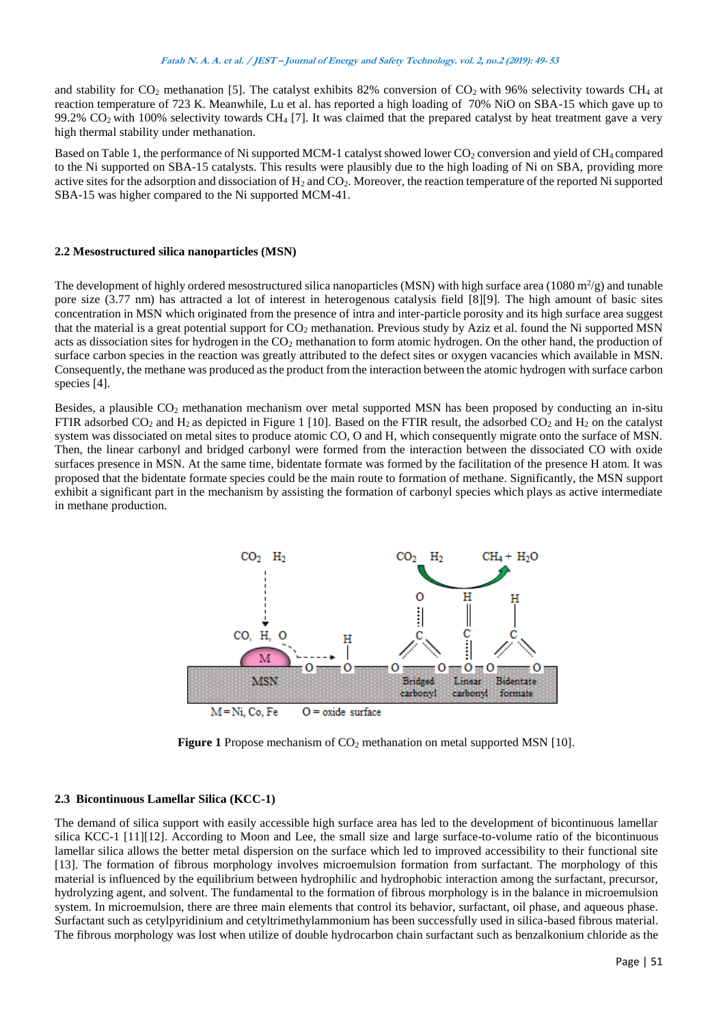and stability for  $CO_2$  methanation [5]. The catalyst exhibits 82% conversion of  $CO_2$  with 96% selectivity towards  $CH_4$  at reaction temperature of 723 K. Meanwhile, Lu et al. has reported a high loading of 70% NiO on SBA-15 which gave up to 99.2%  $CO<sub>2</sub>$  with 100% selectivity towards CH<sub>4</sub> [7]. It was claimed that the prepared catalyst by heat treatment gave a very high thermal stability under methanation.

Based on Table 1, the performance of Ni supported MCM-1 catalyst showed lower CO<sub>2</sub> conversion and yield of CH<sub>4</sub> compared to the Ni supported on SBA-15 catalysts. This results were plausibly due to the high loading of Ni on SBA, providing more active sites for the adsorption and dissociation of  $H_2$  and  $CO<sub>2</sub>$ . Moreover, the reaction temperature of the reported Ni supported SBA-15 was higher compared to the Ni supported MCM-41.

### **2.2 Mesostructured silica nanoparticles (MSN)**

The development of highly ordered mesostructured silica nanoparticles (MSN) with high surface area (1080  $\text{m}^2/\text{g}$ ) and tunable pore size (3.77 nm) has attracted a lot of interest in heterogenous catalysis field [8][9]. The high amount of basic sites concentration in MSN which originated from the presence of intra and inter-particle porosity and its high surface area suggest that the material is a great potential support for CO<sub>2</sub> methanation. Previous study by Aziz et al. found the Ni supported MSN acts as dissociation sites for hydrogen in the  $CO<sub>2</sub>$  methanation to form atomic hydrogen. On the other hand, the production of surface carbon species in the reaction was greatly attributed to the defect sites or oxygen vacancies which available in MSN. Consequently, the methane was produced as the product from the interaction between the atomic hydrogen with surface carbon species [4].

Besides, a plausible CO<sub>2</sub> methanation mechanism over metal supported MSN has been proposed by conducting an in-situ FTIR adsorbed  $CO_2$  and  $H_2$  as depicted in Figure 1 [10]. Based on the FTIR result, the adsorbed  $CO_2$  and  $H_2$  on the catalyst system was dissociated on metal sites to produce atomic CO, O and H, which consequently migrate onto the surface of MSN. Then, the linear carbonyl and bridged carbonyl were formed from the interaction between the dissociated CO with oxide surfaces presence in MSN. At the same time, bidentate formate was formed by the facilitation of the presence H atom. It was proposed that the bidentate formate species could be the main route to formation of methane. Significantly, the MSN support exhibit a significant part in the mechanism by assisting the formation of carbonyl species which plays as active intermediate in methane production.



**Figure** 1 Propose mechanism of CO<sub>2</sub> methanation on metal supported MSN [10].

#### **2.3 Bicontinuous Lamellar Silica (KCC-1)**

The demand of silica support with easily accessible high surface area has led to the development of bicontinuous lamellar silica KCC-1 [11][12]. According to Moon and Lee, the small size and large surface-to-volume ratio of the bicontinuous lamellar silica allows the better metal dispersion on the surface which led to improved accessibility to their functional site [13]. The formation of fibrous morphology involves microemulsion formation from surfactant. The morphology of this material is influenced by the equilibrium between hydrophilic and hydrophobic interaction among the surfactant, precursor, hydrolyzing agent, and solvent. The fundamental to the formation of fibrous morphology is in the balance in microemulsion system. In microemulsion, there are three main elements that control its behavior, surfactant, oil phase, and aqueous phase. Surfactant such as cetylpyridinium and cetyltrimethylammonium has been successfully used in silica-based fibrous material. The fibrous morphology was lost when utilize of double hydrocarbon chain surfactant such as benzalkonium chloride as the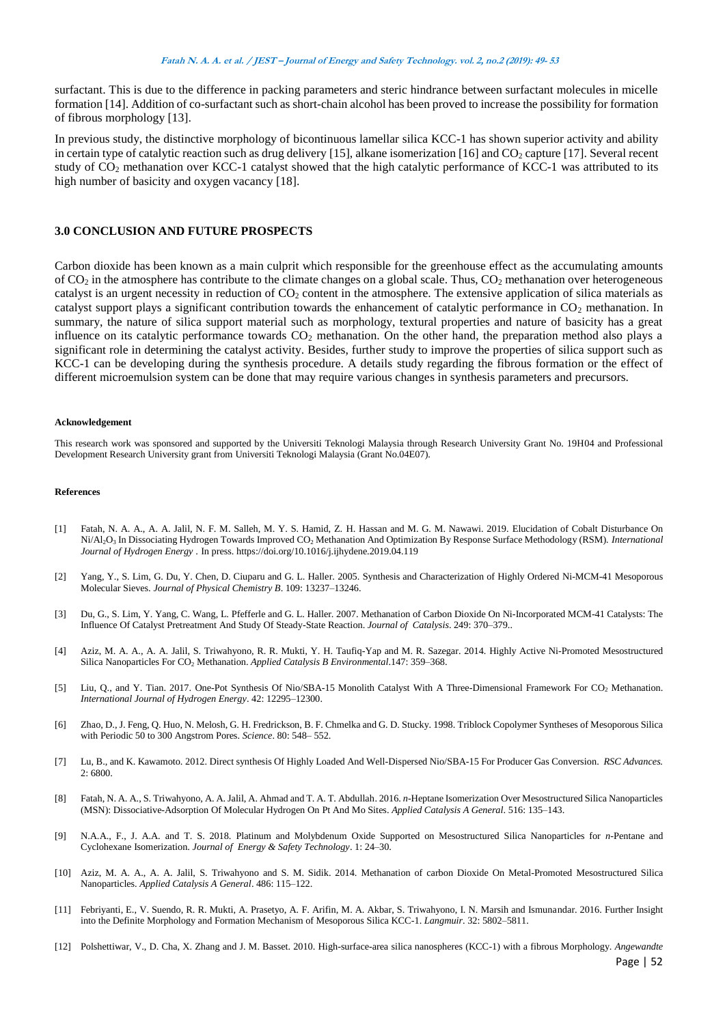#### **Fatah N. A. A. et al. / JEST – Journal of Energy and Safety Technology. vol. 2, no.2 (2019): 49- <sup>53</sup>**

surfactant. This is due to the difference in packing parameters and steric hindrance between surfactant molecules in micelle formation [14]. Addition of co-surfactant such as short-chain alcohol has been proved to increase the possibility for formation of fibrous morphology [13].

In previous study, the distinctive morphology of bicontinuous lamellar silica KCC-1 has shown superior activity and ability in certain type of catalytic reaction such as drug delivery [15], alkane isomerization [16] and  $CO<sub>2</sub>$  capture [17]. Several recent study of  $CO<sub>2</sub>$  methanation over KCC-1 catalyst showed that the high catalytic performance of KCC-1 was attributed to its high number of basicity and oxygen vacancy [18].

## **3.0 CONCLUSION AND FUTURE PROSPECTS**

Carbon dioxide has been known as a main culprit which responsible for the greenhouse effect as the accumulating amounts of  $CO<sub>2</sub>$  in the atmosphere has contribute to the climate changes on a global scale. Thus,  $CO<sub>2</sub>$  methanation over heterogeneous catalyst is an urgent necessity in reduction of  $CO<sub>2</sub>$  content in the atmosphere. The extensive application of silica materials as catalyst support plays a significant contribution towards the enhancement of catalytic performance in  $CO<sub>2</sub>$  methanation. In summary, the nature of silica support material such as morphology, textural properties and nature of basicity has a great influence on its catalytic performance towards  $CO<sub>2</sub>$  methanation. On the other hand, the preparation method also plays a significant role in determining the catalyst activity. Besides, further study to improve the properties of silica support such as KCC-1 can be developing during the synthesis procedure. A details study regarding the fibrous formation or the effect of different microemulsion system can be done that may require various changes in synthesis parameters and precursors.

#### **Acknowledgement**

This research work was sponsored and supported by the Universiti Teknologi Malaysia through Research University Grant No. 19H04 and Professional Development Research University grant from Universiti Teknologi Malaysia (Grant No.04E07).

#### **References**

- [1] Fatah, N. A. A., A. A. Jalil, N. F. M. Salleh, M. Y. S. Hamid, Z. H. Hassan and M. G. M. Nawawi. 2019. Elucidation of Cobalt Disturbance On Ni/Al2O<sup>3</sup> In Dissociating Hydrogen Towards Improved CO<sup>2</sup> Methanation And Optimization By Response Surface Methodology (RSM)*. International Journal of Hydrogen Energy* . In press. https://doi.org/10.1016/j.ijhydene.2019.04.119
- [2] Yang, Y., S. Lim, G. Du, Y. Chen, D. Ciuparu and G. L. Haller. 2005. Synthesis and Characterization of Highly Ordered Ni-MCM-41 Mesoporous Molecular Sieves. *Journal of Physical Chemistry B*. 109: 13237–13246.
- [3] Du, G., S. Lim, Y. Yang, C. Wang, L. Pfefferle and G. L. Haller. 2007. Methanation of Carbon Dioxide On Ni-Incorporated MCM-41 Catalysts: The Influence Of Catalyst Pretreatment And Study Of Steady-State Reaction. *Journal of Catalysis*. 249: 370–379..
- [4] Aziz, M. A. A., A. A. Jalil, S. Triwahyono, R. R. Mukti, Y. H. Taufiq-Yap and M. R. Sazegar. 2014. Highly Active Ni-Promoted Mesostructured Silica Nanoparticles For CO<sub>2</sub> Methanation. *Applied Catalysis B Environmental*.147: 359–368.
- [5] Liu, Q., and Y. Tian. 2017. One-Pot Synthesis Of Nio/SBA-15 Monolith Catalyst With A Three-Dimensional Framework For CO<sup>2</sup> Methanation. *International Journal of Hydrogen Energy*. 42: 12295–12300.
- [6] Zhao, D., J. Feng, Q. Huo, N. Melosh, G. H. Fredrickson, B. F. Chmelka and G. D. Stucky. 1998. Triblock Copolymer Syntheses of Mesoporous Silica with Periodic 50 to 300 Angstrom Pores. *Science*. 80: 548– 552.
- [7] Lu, B., and K. Kawamoto. 2012. Direct synthesis Of Highly Loaded And Well-Dispersed Nio/SBA-15 For Producer Gas Conversion. *RSC Advances.* 2: 6800.
- [8] Fatah, N. A. A., S. Triwahyono, A. A. Jalil, A. Ahmad and T. A. T. Abdullah. 2016. *n*-Heptane Isomerization Over Mesostructured Silica Nanoparticles (MSN): Dissociative-Adsorption Of Molecular Hydrogen On Pt And Mo Sites. *Applied Catalysis A General*. 516: 135–143.
- [9] N.A.A., F., J. A.A. and T. S. 2018. Platinum and Molybdenum Oxide Supported on Mesostructured Silica Nanoparticles for *n*-Pentane and Cyclohexane Isomerization. *Journal of Energy & Safety Technology*. 1: 24–30.
- [10] Aziz, M. A. A., A. A. Jalil, S. Triwahyono and S. M. Sidik. 2014. Methanation of carbon Dioxide On Metal-Promoted Mesostructured Silica Nanoparticles. *Applied Catalysis A General*. 486: 115–122.
- [11] Febriyanti, E., V. Suendo, R. R. Mukti, A. Prasetyo, A. F. Arifin, M. A. Akbar, S. Triwahyono, I. N. Marsih and Ismunandar. 2016. Further Insight into the Definite Morphology and Formation Mechanism of Mesoporous Silica KCC-1. *Langmuir*. 32: 5802–5811.
- [12] Polshettiwar, V., D. Cha, X. Zhang and J. M. Basset. 2010. High-surface-area silica nanospheres (KCC-1) with a fibrous Morphology. *Angewandte*